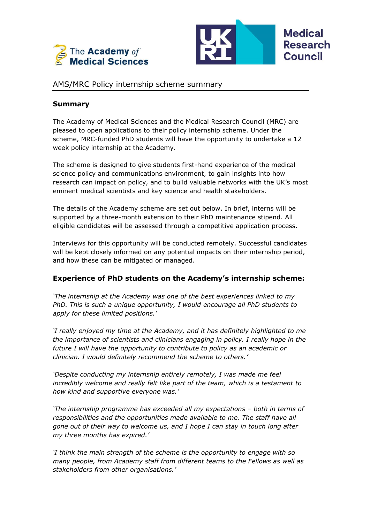



# AMS/MRC Policy internship scheme summary

### **Summary**

The Academy of Medical Sciences and the Medical Research Council (MRC) are pleased to open applications to their policy internship scheme. Under the scheme, MRC-funded PhD students will have the opportunity to undertake a 12 week policy internship at the Academy.

The scheme is designed to give students first-hand experience of the medical science policy and communications environment, to gain insights into how research can impact on policy, and to build valuable networks with the UK's most eminent medical scientists and key science and health stakeholders.

The details of the Academy scheme are set out below. In brief, interns will be supported by a three-month extension to their PhD maintenance stipend. All eligible candidates will be assessed through a competitive application process.

Interviews for this opportunity will be conducted remotely. Successful candidates will be kept closely informed on any potential impacts on their internship period, and how these can be mitigated or managed.

### **Experience of PhD students on the Academy's internship scheme:**

*'The internship at the Academy was one of the best experiences linked to my PhD. This is such a unique opportunity, I would encourage all PhD students to apply for these limited positions.'*

*'I really enjoyed my time at the Academy, and it has definitely highlighted to me the importance of scientists and clinicians engaging in policy. I really hope in the future I will have the opportunity to contribute to policy as an academic or clinician. I would definitely recommend the scheme to others.'*

*'Despite conducting my internship entirely remotely, I was made me feel incredibly welcome and really felt like part of the team, which is a testament to how kind and supportive everyone was.'*

*'The internship programme has exceeded all my expectations – both in terms of responsibilities and the opportunities made available to me. The staff have all gone out of their way to welcome us, and I hope I can stay in touch long after my three months has expired.'*

*'I think the main strength of the scheme is the opportunity to engage with so many people, from Academy staff from different teams to the Fellows as well as stakeholders from other organisations.'*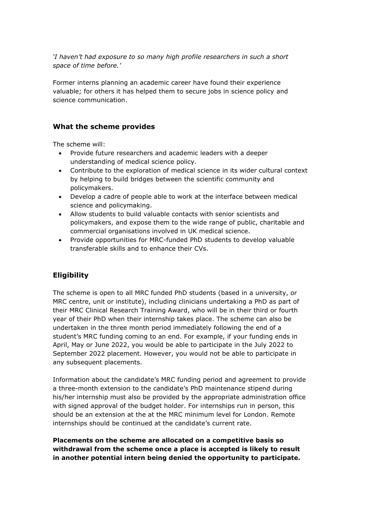*'I haven't had exposure to so many high profile researchers in such a short space of time before.'*

Former interns planning an academic career have found their experience valuable; for others it has helped them to secure jobs in science policy and science communication.

### **What the scheme provides**

The scheme will:

- Provide future researchers and academic leaders with a deeper understanding of medical science policy.
- Contribute to the exploration of medical science in its wider cultural context by helping to build bridges between the scientific community and policymakers.
- Develop a cadre of people able to work at the interface between medical science and policymaking.
- Allow students to build valuable contacts with senior scientists and policymakers, and expose them to the wide range of public, charitable and commercial organisations involved in UK medical science.
- Provide opportunities for MRC-funded PhD students to develop valuable transferable skills and to enhance their CVs.

# **Eligibility**

The scheme is open to all MRC funded PhD students (based in a university, or MRC centre, unit or institute), including clinicians undertaking a PhD as part of their MRC Clinical Research Training Award, who will be in their third or fourth year of their PhD when their internship takes place. The scheme can also be undertaken in the three month period immediately following the end of a student's MRC funding coming to an end. For example, if your funding ends in April, May or June 2022, you would be able to participate in the July 2022 to September 2022 placement. However, you would not be able to participate in any subsequent placements.

Information about the candidate's MRC funding period and agreement to provide a three-month extension to the candidate's PhD maintenance stipend during his/her internship must also be provided by the appropriate administration office with signed approval of the budget holder. For internships run in person, this should be an extension at the at the MRC minimum level for London. Remote internships should be continued at the candidate's current rate.

**Placements on the scheme are allocated on a competitive basis so withdrawal from the scheme once a place is accepted is likely to result in another potential intern being denied the opportunity to participate.**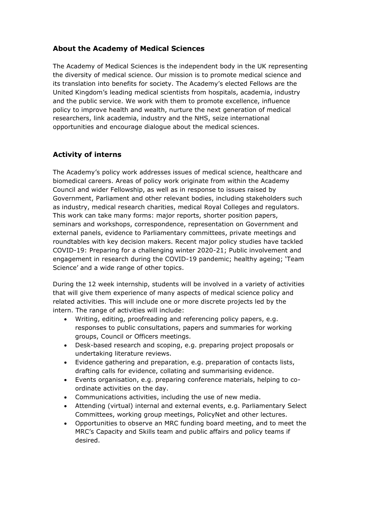# **About the Academy of Medical Sciences**

The Academy of Medical Sciences is the independent body in the UK representing the diversity of medical science. Our mission is to promote medical science and its translation into benefits for society. The Academy's elected Fellows are the United Kingdom's leading medical scientists from hospitals, academia, industry and the public service. We work with them to promote excellence, influence policy to improve health and wealth, nurture the next generation of medical researchers, link academia, industry and the NHS, seize international opportunities and encourage dialogue about the medical sciences.

# **Activity of interns**

The Academy's policy work addresses issues of medical science, healthcare and biomedical careers. Areas of policy work originate from within the Academy Council and wider Fellowship, as well as in response to issues raised by Government, Parliament and other relevant bodies, including stakeholders such as industry, medical research charities, medical Royal Colleges and regulators. This work can take many forms: major reports, shorter position papers, seminars and workshops, correspondence, representation on Government and external panels, evidence to Parliamentary committees, private meetings and roundtables with key decision makers. Recent major policy studies have tackled COVID-19: Preparing for a challenging winter 2020-21; Public involvement and engagement in research during the COVID-19 pandemic; healthy ageing; 'Team Science' and a wide range of other topics.

During the 12 week internship, students will be involved in a variety of activities that will give them experience of many aspects of medical science policy and related activities. This will include one or more discrete projects led by the intern. The range of activities will include:

- Writing, editing, proofreading and referencing policy papers, e.g. responses to public consultations, papers and summaries for working groups, Council or Officers meetings.
- Desk-based research and scoping, e.g. preparing project proposals or undertaking literature reviews.
- Evidence gathering and preparation, e.g. preparation of contacts lists, drafting calls for evidence, collating and summarising evidence.
- Events organisation, e.g. preparing conference materials, helping to coordinate activities on the day.
- Communications activities, including the use of new media.
- Attending (virtual) internal and external events, e.g. Parliamentary Select Committees, working group meetings, PolicyNet and other lectures.
- Opportunities to observe an MRC funding board meeting, and to meet the MRC's Capacity and Skills team and public affairs and policy teams if desired.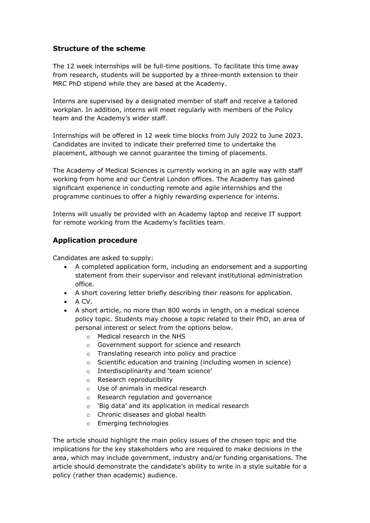### **Structure of the scheme**

The 12 week internships will be full-time positions. To facilitate this time away from research, students will be supported by a three-month extension to their MRC PhD stipend while they are based at the Academy.

Interns are supervised by a designated member of staff and receive a tailored workplan. In addition, interns will meet regularly with members of the Policy team and the Academy's wider staff.

Internships will be offered in 12 week time blocks from July 2022 to June 2023. Candidates are invited to indicate their preferred time to undertake the placement, although we cannot guarantee the timing of placements.

The Academy of Medical Sciences is currently working in an agile way with staff working from home and our Central London offices. The Academy has gained significant experience in conducting remote and agile internships and the programme continues to offer a highly rewarding experience for interns.

Interns will usually be provided with an Academy laptop and receive IT support for remote working from the Academy's facilities team.

# **Application procedure**

Candidates are asked to supply:

- A completed application form, including an endorsement and a supporting statement from their supervisor and relevant institutional administration office.
- A short covering letter briefly describing their reasons for application.
- A CV.
- A short article, no more than 800 words in length, on a medical science policy topic. Students may choose a topic related to their PhD, an area of personal interest or select from the options below.
	- o Medical research in the NHS
	- o Government support for science and research
	- o Translating research into policy and practice
	- o Scientific education and training (including women in science)
	- o Interdisciplinarity and 'team science'
	- o Research reproducibility
	- o Use of animals in medical research
	- o Research regulation and governance
	- o 'Big data' and its application in medical research
	- o Chronic diseases and global health
	- o Emerging technologies

The article should highlight the main policy issues of the chosen topic and the implications for the key stakeholders who are required to make decisions in the area, which may include government, industry and/or funding organisations. The article should demonstrate the candidate's ability to write in a style suitable for a policy (rather than academic) audience.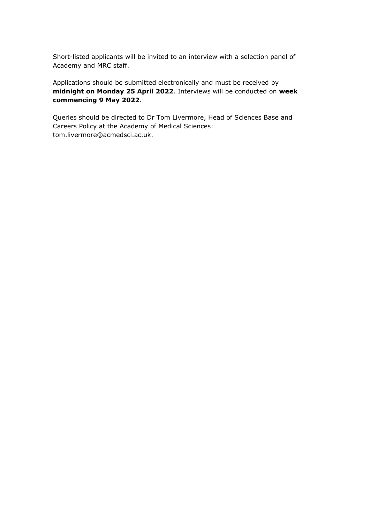Short-listed applicants will be invited to an interview with a selection panel of Academy and MRC staff.

Applications should be submitted electronically and must be received by **midnight on Monday 25 April 2022**. Interviews will be conducted on **week commencing 9 May 2022**.

Queries should be directed to Dr Tom Livermore, Head of Sciences Base and Careers Policy at the Academy of Medical Sciences: tom.livermore@acmedsci.ac.uk.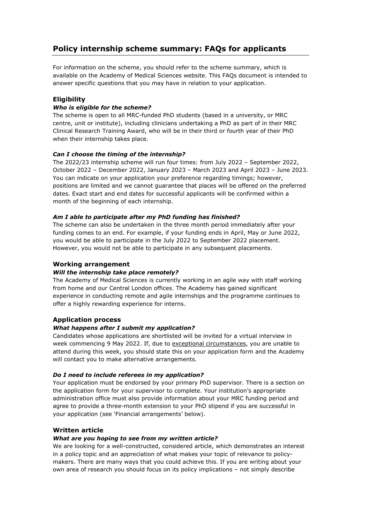# **Policy internship scheme summary: FAQs for applicants**

For information on the scheme, you should refer to the scheme summary, which is available on the Academy of Medical Sciences website. This FAQs document is intended to answer specific questions that you may have in relation to your application.

### **Eligibility**

### *Who is eligible for the scheme?*

The scheme is open to all MRC-funded PhD students (based in a university, or MRC centre, unit or institute), including clinicians undertaking a PhD as part of in their MRC Clinical Research Training Award, who will be in their third or fourth year of their PhD when their internship takes place.

### *Can I choose the timing of the internship?*

The 2022/23 internship scheme will run four times: from July 2022 – September 2022, October 2022 – December 2022, January 2023 – March 2023 and April 2023 – June 2023. You can indicate on your application your preference regarding timings; however, positions are limited and we cannot guarantee that places will be offered on the preferred dates. Exact start and end dates for successful applicants will be confirmed within a month of the beginning of each internship.

#### *Am I able to participate after my PhD funding has finished?*

The scheme can also be undertaken in the three month period immediately after your funding comes to an end. For example, if your funding ends in April, May or June 2022, you would be able to participate in the July 2022 to September 2022 placement. However, you would not be able to participate in any subsequent placements.

#### **Working arrangement**

#### *Will the internship take place remotely?*

The Academy of Medical Sciences is currently working in an agile way with staff working from home and our Central London offices. The Academy has gained significant experience in conducting remote and agile internships and the programme continues to offer a highly rewarding experience for interns.

### **Application process**

#### *What happens after I submit my application?*

Candidates whose applications are shortlisted will be invited for a virtual interview in week commencing 9 May 2022. If, due to exceptional circumstances, you are unable to attend during this week, you should state this on your application form and the Academy will contact you to make alternative arrangements.

#### *Do I need to include referees in my application?*

Your application must be endorsed by your primary PhD supervisor. There is a section on the application form for your supervisor to complete. Your institution's appropriate administration office must also provide information about your MRC funding period and agree to provide a three-month extension to your PhD stipend if you are successful in your application (see 'Financial arrangements' below).

### **Written article**

#### *What are you hoping to see from my written article?*

We are looking for a well-constructed, considered article, which demonstrates an interest in a policy topic and an appreciation of what makes your topic of relevance to policymakers. There are many ways that you could achieve this. If you are writing about your own area of research you should focus on its policy implications – not simply describe